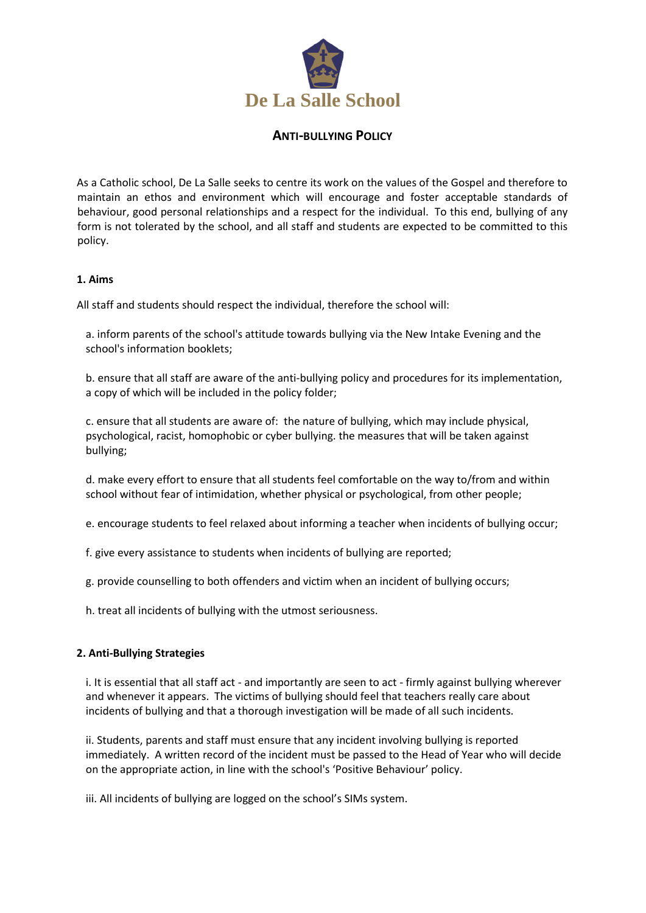

## **ANTI-BULLYING POLICY**

As a Catholic school, De La Salle seeks to centre its work on the values of the Gospel and therefore to maintain an ethos and environment which will encourage and foster acceptable standards of behaviour, good personal relationships and a respect for the individual. To this end, bullying of any form is not tolerated by the school, and all staff and students are expected to be committed to this policy.

## **1. Aims**

All staff and students should respect the individual, therefore the school will:

a. inform parents of the school's attitude towards bullying via the New Intake Evening and the school's information booklets;

b. ensure that all staff are aware of the anti-bullying policy and procedures for its implementation, a copy of which will be included in the policy folder;

c. ensure that all students are aware of: the nature of bullying, which may include physical, psychological, racist, homophobic or cyber bullying. the measures that will be taken against bullying;

d. make every effort to ensure that all students feel comfortable on the way to/from and within school without fear of intimidation, whether physical or psychological, from other people;

e. encourage students to feel relaxed about informing a teacher when incidents of bullying occur;

f. give every assistance to students when incidents of bullying are reported;

g. provide counselling to both offenders and victim when an incident of bullying occurs;

h. treat all incidents of bullying with the utmost seriousness.

## **2. Anti-Bullying Strategies**

i. It is essential that all staff act - and importantly are seen to act - firmly against bullying wherever and whenever it appears. The victims of bullying should feel that teachers really care about incidents of bullying and that a thorough investigation will be made of all such incidents.

ii. Students, parents and staff must ensure that any incident involving bullying is reported immediately. A written record of the incident must be passed to the Head of Year who will decide on the appropriate action, in line with the school's 'Positive Behaviour' policy.

iii. All incidents of bullying are logged on the school's SIMs system.